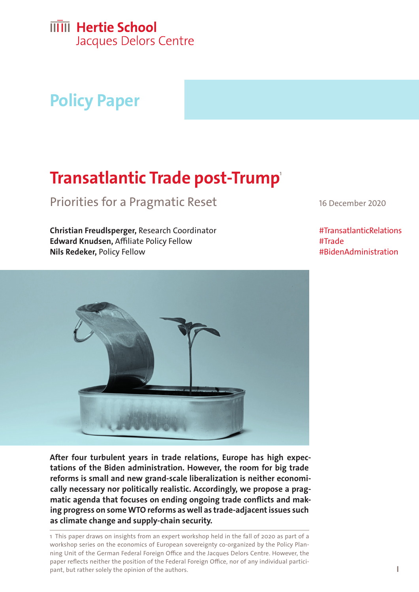# **Policy Paper**

# **Transatlantic Trade post-Trump** 1

Priorities for a Pragmatic Reset 16 December 2020

**Christian Freudlsperger,** Research Coordinator **Edward Knudsen,** Affiliate Policy Fellow **Nils Redeker,** Policy Fellow

#TransatlanticRelations #Trade #BidenAdministration



**tations of the Biden administration. However, the room for big trade reforms is small and new grand-scale liberalization is neither economically necessary nor politically realistic. Accordingly, we propose a pragmatic agenda that focuses on ending ongoing trade conflicts and making progress on some WTO reforms as well as trade-adjacent issues such as climate change and supply-chain security.**

1 This paper draws on insights from an expert workshop held in the fall of 2020 as part of a workshop series on the economics of European sovereignty co-organized by the Policy Planning Unit of the German Federal Foreign Office and the Jacques Delors Centre. However, the paper reflects neither the position of the Federal Foreign Office, nor of any individual participant, but rather solely the opinion of the authors.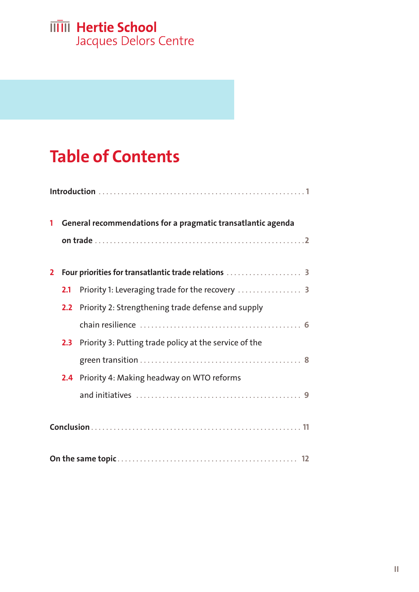# **IIII** Hertie School

Jacques Delors Centre

# **Table of Contents**

| 1            | General recommendations for a pragmatic transatlantic agenda |                                                        |  |
|--------------|--------------------------------------------------------------|--------------------------------------------------------|--|
|              |                                                              |                                                        |  |
|              |                                                              |                                                        |  |
| $\mathbf{2}$ |                                                              |                                                        |  |
|              | 2.1                                                          |                                                        |  |
|              | 2.2                                                          | Priority 2: Strengthening trade defense and supply     |  |
|              |                                                              |                                                        |  |
|              | 2.3                                                          | Priority 3: Putting trade policy at the service of the |  |
|              |                                                              |                                                        |  |
|              | 2.4                                                          | Priority 4: Making headway on WTO reforms              |  |
|              |                                                              |                                                        |  |
|              |                                                              |                                                        |  |
|              |                                                              |                                                        |  |
|              |                                                              |                                                        |  |
|              |                                                              |                                                        |  |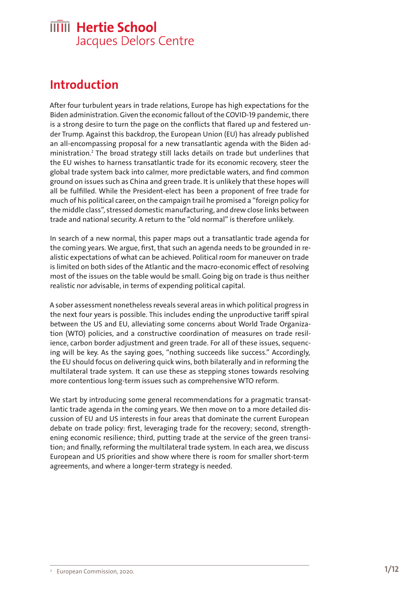## <span id="page-2-0"></span>**Introduction**

After four turbulent years in trade relations, Europe has high expectations for the Biden administration. Given the economic fallout of the COVID-19 pandemic, there is a strong desire to turn the page on the conflicts that flared up and festered under Trump. Against this backdrop, the European Union (EU) has already published an all-encompassing proposal for a new transatlantic agenda with the Biden administration.2 The broad strategy still lacks details on trade but underlines that the EU wishes to harness transatlantic trade for its economic recovery, steer the global trade system back into calmer, more predictable waters, and find common ground on issues such as China and green trade. It is unlikely that these hopes will all be fulfilled. While the President-elect has been a proponent of free trade for much of his political career, on the campaign trail he promised a "foreign policy for the middle class", stressed domestic manufacturing, and drew close links between trade and national security. A return to the "old normal" is therefore unlikely.

In search of a new normal, this paper maps out a transatlantic trade agenda for the coming years. We argue, first, that such an agenda needs to be grounded in realistic expectations of what can be achieved. Political room for maneuver on trade is limited on both sides of the Atlantic and the macro-economic effect of resolving most of the issues on the table would be small. Going big on trade is thus neither realistic nor advisable, in terms of expending political capital.

A sober assessment nonetheless reveals several areas in which political progress in the next four years is possible. This includes ending the unproductive tariff spiral between the US and EU, alleviating some concerns about World Trade Organization (WTO) policies, and a constructive coordination of measures on trade resilience, carbon border adjustment and green trade. For all of these issues, sequencing will be key. As the saying goes, "nothing succeeds like success." Accordingly, the EU should focus on delivering quick wins, both bilaterally and in reforming the multilateral trade system. It can use these as stepping stones towards resolving more contentious long-term issues such as comprehensive WTO reform.

We start by introducing some general recommendations for a pragmatic transatlantic trade agenda in the coming years. We then move on to a more detailed discussion of EU and US interests in four areas that dominate the current European debate on trade policy: first, leveraging trade for the recovery; second, strengthening economic resilience; third, putting trade at the service of the green transition; and finally, reforming the multilateral trade system. In each area, we discuss European and US priorities and show where there is room for smaller short-term agreements, and where a longer-term strategy is needed.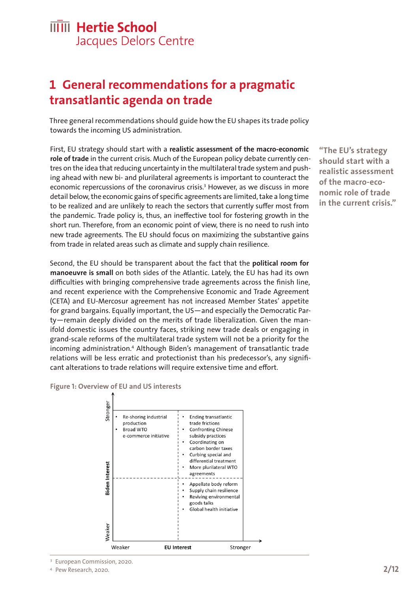## <span id="page-3-0"></span>**1 General recommendations for a pragmatic transatlantic agenda on trade**

Three general recommendations should guide how the EU shapes its trade policy towards the incoming US administration.

First, EU strategy should start with a **realistic assessment of the macro-economic role of trade** in the current crisis. Much of the European policy debate currently centres on the idea that reducing uncertainty in the multilateral trade system and pushing ahead with new bi- and plurilateral agreements is important to counteract the economic repercussions of the coronavirus crisis.<sup>3</sup> However, as we discuss in more detail below, the economic gains of specific agreements are limited, take a long time to be realized and are unlikely to reach the sectors that currently suffer most from the pandemic. Trade policy is, thus, an ineffective tool for fostering growth in the short run. Therefore, from an economic point of view, there is no need to rush into new trade agreements. The EU should focus on maximizing the substantive gains from trade in related areas such as climate and supply chain resilience.

Second, the EU should be transparent about the fact that the **political room for manoeuvre is small** on both sides of the Atlantic. Lately, the EU has had its own difficulties with bringing comprehensive trade agreements across the finish line, and recent experience with the Comprehensive Economic and Trade Agreement (CETA) and EU-Mercosur agreement has not increased Member States' appetite for grand bargains. Equally important, the US—and especially the Democratic Party—remain deeply divided on the merits of trade liberalization. Given the manifold domestic issues the country faces, striking new trade deals or engaging in grand-scale reforms of the multilateral trade system will not be a priority for the incoming administration.<sup>4</sup> Although Biden's management of transatlantic trade relations will be less erratic and protectionist than his predecessor's, any significant alterations to trade relations will require extensive time and effort.

#### **Figure 1: Overview of EU and US interests**



**"The EU's strategy should start with a realistic assessment of the macro-economic role of trade in the current crisis."**

<sup>3</sup> [European Commission, 2020.](https://ec.europa.eu/commission/presscorner/detail/en/ip_20_1058)

<sup>4</sup> [Pew Research, 2020.](https://www.pewresearch.org/politics/2020/08/13/important-issues-in-the-2020-election/)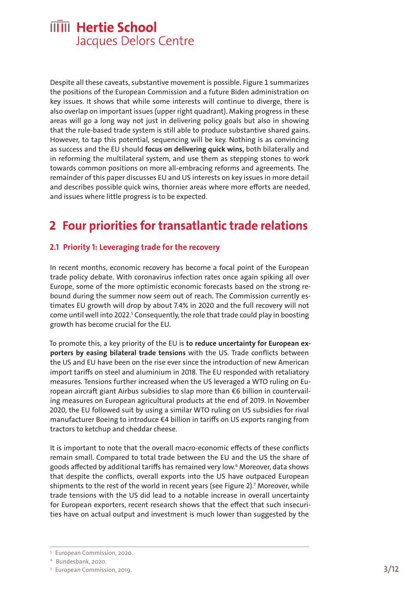Despite all these caveats, substantive movement is possible. Figure 1 summarizes the positions of the European Commission and a future Biden administration on key issues. It shows that while some interests will continue to diverge, there is also overlap on important issues (upper right quadrant). Making progress in these areas will go a long way not just in delivering policy goals but also in showing that the rule-based trade system is still able to produce substantive shared gains. However, to tap this potential, sequencing will be key. Nothing is as convincing as success and the EU should **focus on delivering quick wins,** both bilaterally and in reforming the multilateral system, and use them as stepping stones to work towards common positions on more all-embracing reforms and agreements. The remainder of this paper discusses EU and US interests on key issues in more detail and describes possible quick wins, thornier areas where more efforts are needed, and issues where little progress is to be expected.

## <span id="page-4-0"></span>**2 Four priorities for transatlantic trade relations**

#### <span id="page-4-1"></span>**2.1 Priority 1: Leveraging trade for the recovery**

In recent months, economic recovery has become a focal point of the European trade policy debate. With coronavirus infection rates once again spiking all over Europe, some of the more optimistic economic forecasts based on the strong rebound during the summer now seem out of reach. The Commission currently estimates EU growth will drop by about 7.4% in 2020 and the full recovery will not come until well into 2022.<sup>5</sup> Consequently, the role that trade could play in boosting growth has become crucial for the EU.

To promote this, a key priority of the EU is **to reduce uncertainty for European exporters by easing bilateral trade tensions** with the US. Trade conflicts between the US and EU have been on the rise ever since the introduction of new American import tariffs on steel and aluminium in 2018. The EU responded with retaliatory measures. Tensions further increased when the US leveraged a WTO ruling on European aircraft giant Airbus subsidies to slap more than €6 billion in countervailing measures on European agricultural products at the end of 2019. In November 2020, the EU followed suit by using a similar WTO ruling on US subsidies for rival manufacturer Boeing to introduce €4 billion in tariffs on US exports ranging from tractors to ketchup and cheddar cheese.

It is important to note that the overall macro-economic effects of these conflicts remain small. Compared to total trade between the EU and the US the share of goods affected by additional tariffs has remained very low.6 Moreover, data shows that despite the conflicts, overall exports into the US have outpaced European shipments to the rest of the world in recent years (see Figure 2).7 Moreover, while trade tensions with the US did lead to a notable increase in overall uncertainty for European exporters, recent research shows that the effect that such insecurities have on actual output and investment is much lower than suggested by the

<sup>5</sup> [European Commission, 2020.](https://ec.europa.eu/info/sites/info/files/economy-finance/ip136_en.pdf)

<sup>6</sup> [Bundesbank, 2020.](https://www.bundesbank.de/resource/blob/822438/306c76bad7214946ac90075a442691ad/mL/2020-01-protektionismus-data.pdf)

<sup>7</sup> [European Commission, 2019.](https://publications.jrc.ec.europa.eu/repository/bitstream/JRC112036/jrc112036_jrc112036_scienceforpolicyreport_final.pdf)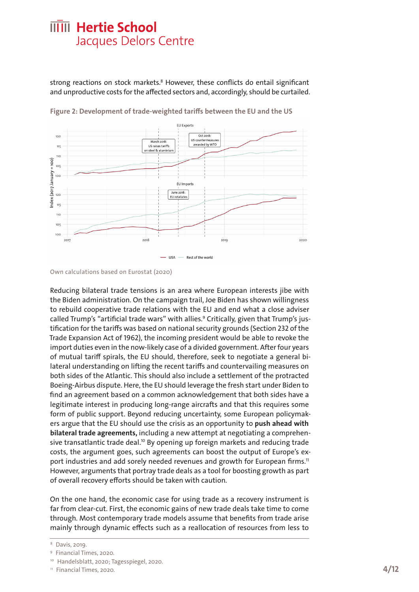strong reactions on stock markets.<sup>8</sup> However, these conflicts do entail significant and unproductive costs for the affected sectors and, accordingly, should be curtailed.



**Figure 2: Development of trade-weighted tariffs between the EU and the US**

Reducing bilateral trade tensions is an area where European interests jibe with the Biden administration. On the campaign trail, Joe Biden has shown willingness to rebuild cooperative trade relations with the EU and end what a close adviser called Trump's "artificial trade wars" with allies.<sup>9</sup> Critically, given that Trump's justification for the tariffs was based on national security grounds (Section 232 of the Trade Expansion Act of 1962), the incoming president would be able to revoke the import duties even in the now-likely case of a divided government. After four years of mutual tariff spirals, the EU should, therefore, seek to negotiate a general bilateral understanding on lifting the recent tariffs and countervailing measures on both sides of the Atlantic. This should also include a settlement of the protracted Boeing-Airbus dispute. Here, the EU should leverage the fresh start under Biden to find an agreement based on a common acknowledgement that both sides have a legitimate interest in producing long-range aircrafts and that this requires some form of public support. Beyond reducing uncertainty, some European policymakers argue that the EU should use the crisis as an opportunity to **push ahead with bilateral trade agreements,** including a new attempt at negotiating a comprehensive transatlantic trade deal.<sup>10</sup> By opening up foreign markets and reducing trade costs, the argument goes, such agreements can boost the output of Europe's export industries and add sorely needed revenues and growth for European firms.<sup>11</sup> However, arguments that portray trade deals as a tool for boosting growth as part of overall recovery efforts should be taken with caution.

On the one hand, the economic case for using trade as a recovery instrument is far from clear-cut. First, the economic gains of new trade deals take time to come through. Most contemporary trade models assume that benefits from trade arise mainly through dynamic effects such as a reallocation of resources from less to

Own calculations based on Eurostat (2020)

<sup>8</sup> [Davis, 2019.](https://review.chicagobooth.edu/economics/2019/article/trade-policy-upending-markets-not-investment)

<sup>9</sup> [Financial Times, 2020.](https://www.ft.com/content/25d54717-2803-45f3-b54a-9b147e9a8951)

<sup>10</sup> [Handelsblatt, 2020;](https://www.handelsblatt.com/politik/international/nach-der-us-wahl-joe-biden-und-die-eu-transatlantische-problemzonen/26606278.html%3Fticket%3DST-3714022-BO7UdB0sagdu7Rt4Cfns-ap1) [Tagesspiegel, 2020.](https://www.tagesspiegel.de/politik/die-usa-und-europa-ein-neues-ttip-vergesst-die-chlorhuehner-werden-wir-kuehner/26645478.html)

<sup>&</sup>lt;sup>11</sup> [Financial Times, 2020.](https://www.ft.com/content/95dcaac2-162e-4ff4-aca5-bb852f03b1e9)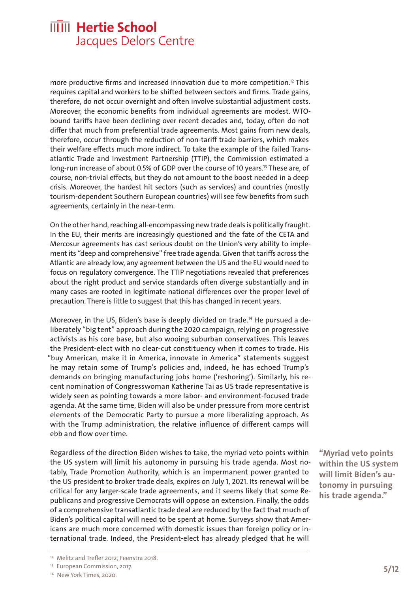more productive firms and increased innovation due to more competition.<sup>12</sup> This requires capital and workers to be shifted between sectors and firms. Trade gains, therefore, do not occur overnight and often involve substantial adjustment costs. Moreover, the economic benefits from individual agreements are modest. WTObound tariffs have been declining over recent decades and, today, often do not differ that much from preferential trade agreements. Most gains from new deals, therefore, occur through the reduction of non-tariff trade barriers, which makes their welfare effects much more indirect. To take the example of the failed Transatlantic Trade and Investment Partnership (TTIP), the Commission estimated a long-run increase of about 0.5% of GDP over the course of 10 years.<sup>13</sup> These are, of course, non-trivial effects, but they do not amount to the boost needed in a deep crisis. Moreover, the hardest hit sectors (such as services) and countries (mostly tourism-dependent Southern European countries) will see few benefits from such agreements, certainly in the near-term.

On the other hand, reaching all-encompassing new trade deals is politically fraught. In the EU, their merits are increasingly questioned and the fate of the CETA and Mercosur agreements has cast serious doubt on the Union's very ability to implement its "deep and comprehensive" free trade agenda. Given that tariffs across the Atlantic are already low, any agreement between the US and the EU would need to focus on regulatory convergence. The TTIP negotiations revealed that preferences about the right product and service standards often diverge substantially and in many cases are rooted in legitimate national differences over the proper level of precaution. There is little to suggest that this has changed in recent years.

Moreover, in the US, Biden's base is deeply divided on trade.<sup>14</sup> He pursued a deliberately "big tent" approach during the 2020 campaign, relying on progressive activists as his core base, but also wooing suburban conservatives. This leaves the President-elect with no clear-cut constituency when it comes to trade. His "buy American, make it in America, innovate in America" statements suggest he may retain some of Trump's policies and, indeed, he has echoed Trump's demands on bringing manufacturing jobs home ('reshoring'). Similarly, his recent nomination of Congresswoman Katherine Tai as US trade representative is widely seen as pointing towards a more labor- and environment-focused trade agenda. At the same time, Biden will also be under pressure from more centrist elements of the Democratic Party to pursue a more liberalizing approach. As with the Trump administration, the relative influence of different camps will ebb and flow over time.

Regardless of the direction Biden wishes to take, the myriad veto points within the US system will limit his autonomy in pursuing his trade agenda. Most notably, Trade Promotion Authority, which is an impermanent power granted to the US president to broker trade deals, expires on July 1, 2021. Its renewal will be critical for any larger-scale trade agreements, and it seems likely that some Republicans and progressive Democrats will oppose an extension. Finally, the odds of a comprehensive transatlantic trade deal are reduced by the fact that much of Biden's political capital will need to be spent at home. Surveys show that Americans are much more concerned with domestic issues than foreign policy or international trade. Indeed, the President-elect has already pledged that he will

**"Myriad veto points within the US system will limit Biden's autonomy in pursuing his trade agenda."**

<sup>&</sup>lt;sup>12</sup> [Melitz and Trefler 2012;](https://www.aeaweb.org/articles?id=10.1257/jep.26.2.91) [Feenstra 2018.](https://pubs.aeaweb.org/doi/pdfplus/10.1257/jep.32.2.25)

<sup>&</sup>lt;sup>13</sup> [European Commission, 2017.](https://trade.ec.europa.eu/doclib/docs/2017/march/tradoc_155462.pdf)

<sup>&</sup>lt;sup>14</sup> [New York Times, 2020.](https://www.nytimes.com/2020/10/28/business/economy/democrats-biden-trade.html)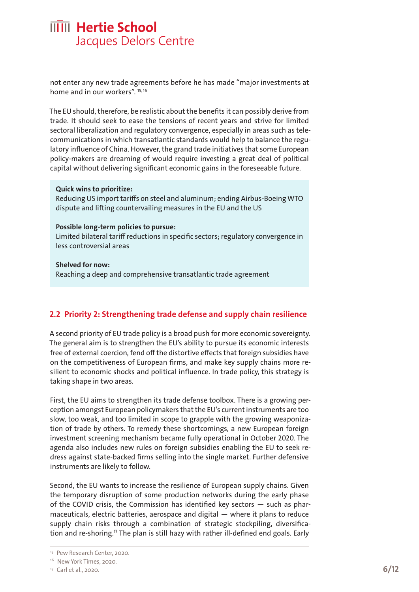not enter any new trade agreements before he has made "major investments at home and in our workers". <sup>15, 16</sup>

The EU should, therefore, be realistic about the benefits it can possibly derive from trade. It should seek to ease the tensions of recent years and strive for limited sectoral liberalization and regulatory convergence, especially in areas such as telecommunications in which transatlantic standards would help to balance the regulatory influence of China. However, the grand trade initiatives that some European policy-makers are dreaming of would require investing a great deal of political capital without delivering significant economic gains in the foreseeable future.

#### **Quick wins to prioritize:**

Reducing US import tariffs on steel and aluminum; ending Airbus-Boeing WTO dispute and lifting countervailing measures in the EU and the US

#### **Possible long-term policies to pursue:**

Limited bilateral tariff reductions in specific sectors; regulatory convergence in less controversial areas

**Shelved for now:** Reaching a deep and comprehensive transatlantic trade agreement

#### <span id="page-7-0"></span>**2.2 Priority 2: Strengthening trade defense and supply chain resilience**

A second priority of EU trade policy is a broad push for more economic sovereignty. The general aim is to strengthen the EU's ability to pursue its economic interests free of external coercion, fend off the distortive effects that foreign subsidies have on the competitiveness of European firms, and make key supply chains more resilient to economic shocks and political influence. In trade policy, this strategy is taking shape in two areas.

First, the EU aims to strengthen its trade defense toolbox. There is a growing perception amongst European policymakers that the EU's current instruments are too slow, too weak, and too limited in scope to grapple with the growing weaponization of trade by others. To remedy these shortcomings, a new European foreign investment screening mechanism became fully operational in October 2020. The agenda also includes new rules on foreign subsidies enabling the EU to seek redress against state-backed firms selling into the single market. Further defensive instruments are likely to follow.

Second, the EU wants to increase the resilience of European supply chains. Given the temporary disruption of some production networks during the early phase of the COVID crisis, the Commission has identified key sectors — such as pharmaceuticals, electric batteries, aerospace and digital — where it plans to reduce supply chain risks through a combination of strategic stockpiling, diversification and re-shoring.17 The plan is still hazy with rather ill-defined end goals. Early

<sup>&</sup>lt;sup>15</sup> [Pew Research Center, 2020.](https://www.pewresearch.org/politics/2020/08/13/important-issues-in-the-2020-election/)

<sup>&</sup>lt;sup>16</sup> [New York Times, 2020.](https://www.nytimes.com/2020/12/02/opinion/biden-interview-mcconnell-china-iran.html)

<sup>17</sup> [Carl et al., 2020.](https://ec.europa.eu/commission/presscorner/detail/en/SPEECH_20_1776)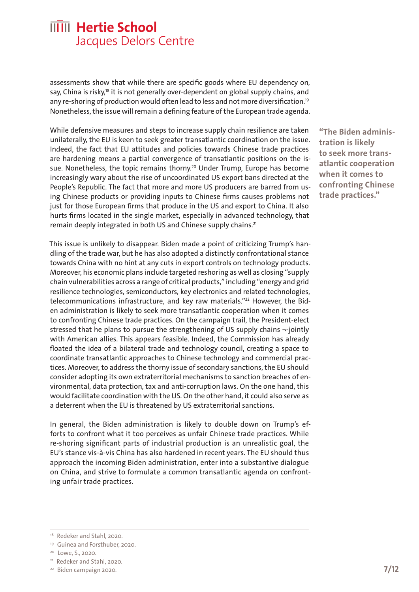assessments show that while there are specific goods where EU dependency on, say, China is risky,<sup>18</sup> it is not generally over-dependent on global supply chains, and any re-shoring of production would often lead to less and not more diversification.19 Nonetheless, the issue will remain a defining feature of the European trade agenda.

While defensive measures and steps to increase supply chain resilience are taken unilaterally, the EU is keen to seek greater transatlantic coordination on the issue. Indeed, the fact that EU attitudes and policies towards Chinese trade practices are hardening means a partial convergence of transatlantic positions on the issue. Nonetheless, the topic remains thorny.<sup>20</sup> Under Trump, Europe has become increasingly wary about the rise of uncoordinated US export bans directed at the People's Republic. The fact that more and more US producers are barred from using Chinese products or providing inputs to Chinese firms causes problems not just for those European firms that produce in the US and export to China. It also hurts firms located in the single market, especially in advanced technology, that remain deeply integrated in both US and Chinese supply chains.<sup>21</sup>

This issue is unlikely to disappear. Biden made a point of criticizing Trump's handling of the trade war, but he has also adopted a distinctly confrontational stance towards China with no hint at any cuts in export controls on technology products. Moreover, his economic plans include targeted reshoring as well as closing "supply chain vulnerabilities across a range of critical products," including "energy and grid resilience technologies, semiconductors, key electronics and related technologies, telecommunications infrastructure, and key raw materials."<sup>22</sup> However, the Biden administration is likely to seek more transatlantic cooperation when it comes to confronting Chinese trade practices. On the campaign trail, the President-elect stressed that he plans to pursue the strengthening of US supply chains ¬-jointly with American allies. This appears feasible. Indeed, the Commission has already floated the idea of a bilateral trade and technology council, creating a space to coordinate transatlantic approaches to Chinese technology and commercial practices. Moreover, to address the thorny issue of secondary sanctions, the EU should consider adopting its own extraterritorial mechanisms to sanction breaches of environmental, data protection, tax and anti-corruption laws. On the one hand, this would facilitate coordination with the US. On the other hand, it could also serve as a deterrent when the EU is threatened by US extraterritorial sanctions.

In general, the Biden administration is likely to double down on Trump's efforts to confront what it too perceives as unfair Chinese trade practices. While re-shoring significant parts of industrial production is an unrealistic goal, the EU's stance vis-à-vis China has also hardened in recent years. The EU should thus approach the incoming Biden administration, enter into a substantive dialogue on China, and strive to formulate a common transatlantic agenda on confronting unfair trade practices.

**"The Biden administration is likely to seek more transatlantic cooperation when it comes to confronting Chinese trade practices."**

<sup>&</sup>lt;sup>18</sup> Redeker and Stahl, 2020.

<sup>19</sup> [Guinea and Forsthuber, 2020.](https://ecipe.org/wp-content/uploads/2020/09/ECI_20_OccPaper_06-2020_LY03.pdf%20)

<sup>&</sup>lt;sup>20</sup> Lowe, S., 2020.

<sup>&</sup>lt;sup>21</sup> Redeker and Stahl, 2020.

<sup>22</sup> [Biden campaign 2020.](https://joebiden.com/supplychains/#)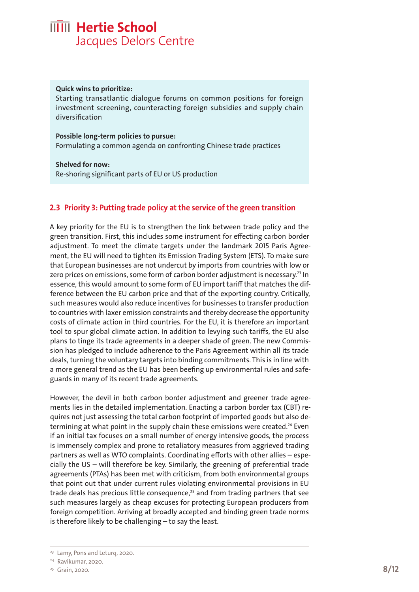#### **Quick wins to prioritize:**

Starting transatlantic dialogue forums on common positions for foreign investment screening, counteracting foreign subsidies and supply chain diversification

#### **Possible long-term policies to pursue:**  Formulating a common agenda on confronting Chinese trade practices

**Shelved for now:**  Re-shoring significant parts of EU or US production

#### <span id="page-9-0"></span>**2.3 Priority 3: Putting trade policy at the service of the green transition**

A key priority for the EU is to strengthen the link between trade policy and the green transition. First, this includes some instrument for effecting carbon border adjustment. To meet the climate targets under the landmark 2015 Paris Agreement, the EU will need to tighten its Emission Trading System (ETS). To make sure that European businesses are not undercut by imports from countries with low or zero prices on emissions, some form of carbon border adjustment is necessary.<sup>23</sup> In essence, this would amount to some form of EU import tariff that matches the difference between the EU carbon price and that of the exporting country. Critically, such measures would also reduce incentives for businesses to transfer production to countries with laxer emission constraints and thereby decrease the opportunity costs of climate action in third countries. For the EU, it is therefore an important tool to spur global climate action. In addition to levying such tariffs, the EU also plans to tinge its trade agreements in a deeper shade of green. The new Commission has pledged to include adherence to the Paris Agreement within all its trade deals, turning the voluntary targets into binding commitments. This is in line with a more general trend as the EU has been beefing up environmental rules and safeguards in many of its recent trade agreements.

However, the devil in both carbon border adjustment and greener trade agreements lies in the detailed implementation. Enacting a carbon border tax (CBT) requires not just assessing the total carbon footprint of imported goods but also determining at what point in the supply chain these emissions were created.<sup>24</sup> Even if an initial tax focuses on a small number of energy intensive goods, the process is immensely complex and prone to retaliatory measures from aggrieved trading partners as well as WTO complaints. Coordinating efforts with other allies – especially the US – will therefore be key. Similarly, the greening of preferential trade agreements (PTAs) has been met with criticism, from both environmental groups that point out that under current rules violating environmental provisions in EU trade deals has precious little consequence, $25$  and from trading partners that see such measures largely as cheap excuses for protecting European producers from foreign competition. Arriving at broadly accepted and binding green trade norms is therefore likely to be challenging – to say the least.

<sup>&</sup>lt;sup>23</sup> [Lamy, Pons and Leturq, 2020.](https://institutdelors.eu/en/publications/verdir-la-politique-commerciale-de-lue-2-aspects-economiques/)

<sup>24</sup> [Ravikumar, 2020.](https://www.technologyreview.com/2020/07/27/1005641/carbon-border-taxes-eu-climate-change-opinion/) 

<sup>25</sup> [Grain, 2020.](https://www.grain.org/en/article/6387-new-study-on-mercosur-a-bad-deal-for-climate-and-environment)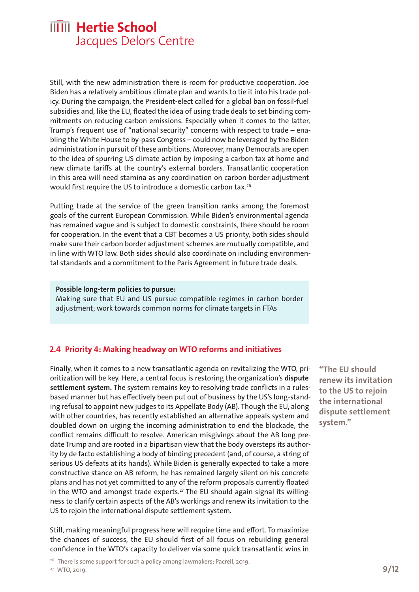Still, with the new administration there is room for productive cooperation. Joe Biden has a relatively ambitious climate plan and wants to tie it into his trade policy. During the campaign, the President-elect called for a global ban on fossil-fuel subsidies and, like the EU, floated the idea of using trade deals to set binding commitments on reducing carbon emissions. Especially when it comes to the latter, Trump's frequent use of "national security" concerns with respect to trade – enabling the White House to by-pass Congress – could now be leveraged by the Biden administration in pursuit of these ambitions. Moreover, many Democrats are open to the idea of spurring US climate action by imposing a carbon tax at home and new climate tariffs at the country's external borders. Transatlantic cooperation in this area will need stamina as any coordination on carbon border adjustment would first require the US to introduce a domestic carbon tax.26

Putting trade at the service of the green transition ranks among the foremost goals of the current European Commission. While Biden's environmental agenda has remained vague and is subject to domestic constraints, there should be room for cooperation. In the event that a CBT becomes a US priority, both sides should make sure their carbon border adjustment schemes are mutually compatible, and in line with WTO law. Both sides should also coordinate on including environmental standards and a commitment to the Paris Agreement in future trade deals.

#### **Possible long-term policies to pursue:**

Making sure that EU and US pursue compatible regimes in carbon border adjustment; work towards common norms for climate targets in FTAs

#### <span id="page-10-0"></span>**2.4 Priority 4: Making headway on WTO reforms and initiatives**

Finally, when it comes to a new transatlantic agenda on revitalizing the WTO, prioritization will be key. Here, a central focus is restoring the organization's **dispute settlement system.** The system remains key to resolving trade conflicts in a rulesbased manner but has effectively been put out of business by the US's long-standing refusal to appoint new judges to its Appellate Body (AB). Though the EU, along with other countries, has recently established an alternative appeals system and doubled down on urging the incoming administration to end the blockade, the conflict remains difficult to resolve. American misgivings about the AB long predate Trump and are rooted in a bipartisan view that the body oversteps its authority by de facto establishing a body of binding precedent (and, of course, a string of serious US defeats at its hands). While Biden is generally expected to take a more constructive stance on AB reform, he has remained largely silent on his concrete plans and has not yet committed to any of the reform proposals currently floated in the WTO and amongst trade experts.<sup>27</sup> The EU should again signal its willingness to clarify certain aspects of the AB's workings and renew its invitation to the US to rejoin the international dispute settlement system.

Still, making meaningful progress here will require time and effort. To maximize the chances of success, the EU should first of all focus on rebuilding general confidence in the WTO's capacity to deliver via some quick transatlantic wins in

**"The EU should renew its invitation to the US to rejoin the international dispute settlement system."**

<sup>&</sup>lt;sup>26</sup> There is some support for such a policy among lawmakers; [Pacrell, 2019.](https://pascrell.house.gov/news/documentsingle.aspx%3FDocumentID%3D3855%20)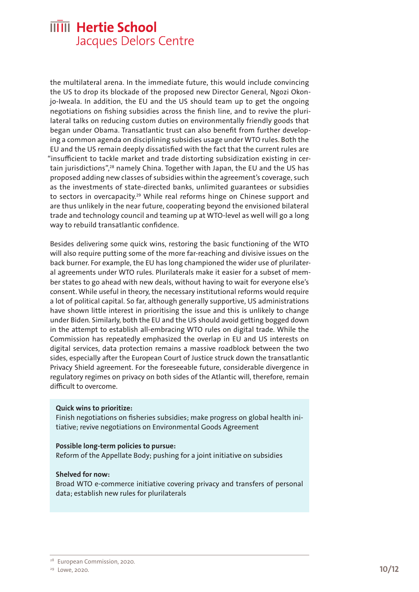the multilateral arena. In the immediate future, this would include convincing the US to drop its blockade of the proposed new Director General, Ngozi Okonjo-Iweala. In addition, the EU and the US should team up to get the ongoing negotiations on fishing subsidies across the finish line, and to revive the plurilateral talks on reducing custom duties on environmentally friendly goods that began under Obama. Transatlantic trust can also benefit from further developing a common agenda on disciplining subsidies usage under WTO rules. Both the EU and the US remain deeply dissatisfied with the fact that the current rules are "insufficient to tackle market and trade distorting subsidization existing in certain jurisdictions",28 namely China. Together with Japan, the EU and the US has proposed adding new classes of subsidies within the agreement's coverage, such as the investments of state-directed banks, unlimited guarantees or subsidies to sectors in overcapacity.29 While real reforms hinge on Chinese support and are thus unlikely in the near future, cooperating beyond the envisioned bilateral trade and technology council and teaming up at WTO-level as well will go a long way to rebuild transatlantic confidence.

Besides delivering some quick wins, restoring the basic functioning of the WTO will also require putting some of the more far-reaching and divisive issues on the back burner. For example, the EU has long championed the wider use of plurilateral agreements under WTO rules. Plurilaterals make it easier for a subset of member states to go ahead with new deals, without having to wait for everyone else's consent. While useful in theory, the necessary institutional reforms would require a lot of political capital. So far, although generally supportive, US administrations have shown little interest in prioritising the issue and this is unlikely to change under Biden. Similarly, both the EU and the US should avoid getting bogged down in the attempt to establish all-embracing WTO rules on digital trade. While the Commission has repeatedly emphasized the overlap in EU and US interests on digital services, data protection remains a massive roadblock between the two sides, especially after the European Court of Justice struck down the transatlantic Privacy Shield agreement. For the foreseeable future, considerable divergence in regulatory regimes on privacy on both sides of the Atlantic will, therefore, remain difficult to overcome.

#### **Quick wins to prioritize:**

Finish negotiations on fisheries subsidies; make progress on global health initiative; revive negotiations on Environmental Goods Agreement

#### **Possible long-term policies to pursue:**

Reform of the Appellate Body; pushing for a joint initiative on subsidies

#### **Shelved for now:**

Broad WTO e-commerce initiative covering privacy and transfers of personal data; establish new rules for plurilaterals

<sup>&</sup>lt;sup>28</sup> [European Commission, 2020.](https://trade.ec.europa.eu/doclib/docs/2020/january/tradoc_158567.pdf)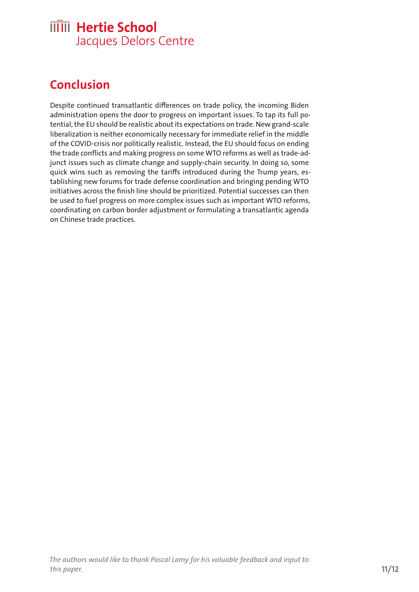## <span id="page-12-0"></span>**Conclusion**

Despite continued transatlantic differences on trade policy, the incoming Biden administration opens the door to progress on important issues. To tap its full potential, the EU should be realistic about its expectations on trade. New grand-scale liberalization is neither economically necessary for immediate relief in the middle of the COVID-crisis nor politically realistic. Instead, the EU should focus on ending the trade conflicts and making progress on some WTO reforms as well as trade-adjunct issues such as climate change and supply-chain security. In doing so, some quick wins such as removing the tariffs introduced during the Trump years, establishing new forums for trade defense coordination and bringing pending WTO initiatives across the finish line should be prioritized. Potential successes can then be used to fuel progress on more complex issues such as important WTO reforms, coordinating on carbon border adjustment or formulating a transatlantic agenda on Chinese trade practices.